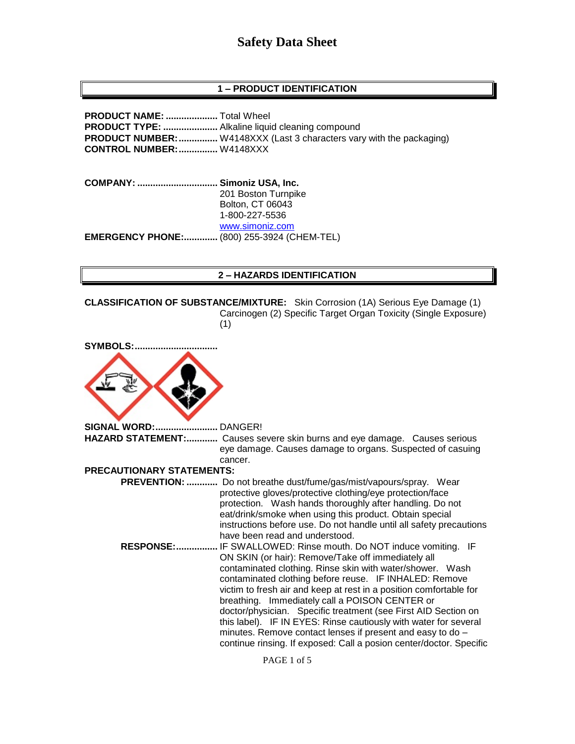## **1 – PRODUCT IDENTIFICATION**

**PRODUCT NAME: ....................** Total Wheel **PRODUCT TYPE: .....................** Alkaline liquid cleaning compound **PRODUCT NUMBER:...............** W4148XXX (Last 3 characters vary with the packaging) **CONTROL NUMBER:...............** W4148XXX

**COMPANY: ............................... Simoniz USA, Inc.** 201 Boston Turnpike Bolton, CT 06043 1-800-227-5536 [www.simoniz.com](http://www.simoniz.com/) **EMERGENCY PHONE:.............** (800) 255-3924 (CHEM-TEL)

#### **2 – HAZARDS IDENTIFICATION**

**CLASSIFICATION OF SUBSTANCE/MIXTURE:** Skin Corrosion (1A) Serious Eye Damage (1) Carcinogen (2) Specific Target Organ Toxicity (Single Exposure) (1)

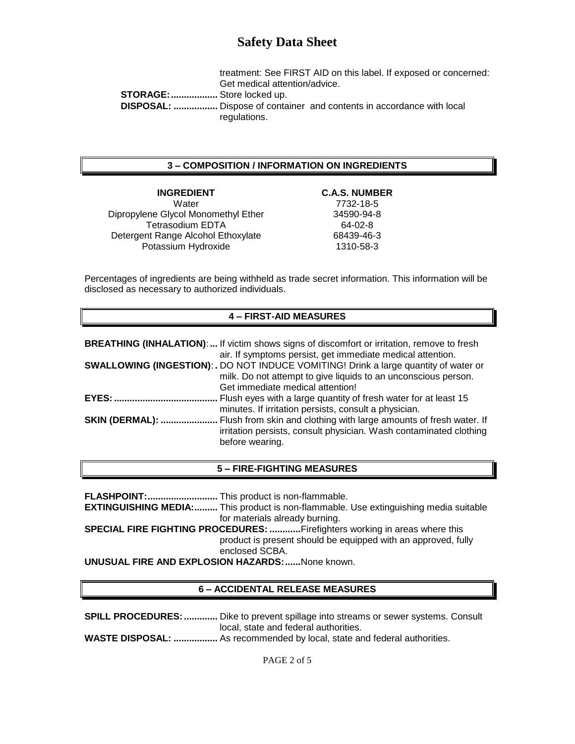treatment: See FIRST AID on this label. If exposed or concerned: Get medical attention/advice. **STORAGE:..................** Store locked up.  **DISPOSAL: .................** Dispose of container and contents in accordance with local regulations.

### **3 – COMPOSITION / INFORMATION ON INGREDIENTS**

# **INGREDIENT C.A.S. NUMBER**

Water 7732-18-5 Dipropylene Glycol Monomethyl Ether 34590-94-8 Tetrasodium EDTA 64-02-8 Detergent Range Alcohol Ethoxylate 68439-46-3 Potassium Hydroxide 1310-58-3

Percentages of ingredients are being withheld as trade secret information. This information will be disclosed as necessary to authorized individuals.

#### **4 – FIRST-AID MEASURES**

|                        | <b>BREATHING (INHALATION):</b> If victim shows signs of discomfort or irritation, remove to fresh<br>air. If symptoms persist, get immediate medical attention.                                   |
|------------------------|---------------------------------------------------------------------------------------------------------------------------------------------------------------------------------------------------|
|                        | <b>SWALLOWING (INGESTION): .</b> DO NOT INDUCE VOMITING! Drink a large quantity of water or<br>milk. Do not attempt to give liquids to an unconscious person.<br>Get immediate medical attention! |
| <b>EYES:</b>           | Flush eyes with a large quantity of fresh water for at least 15<br>minutes. If irritation persists, consult a physician.                                                                          |
| <b>SKIN (DERMAL): </b> | Flush from skin and clothing with large amounts of fresh water. If<br>irritation persists, consult physician. Wash contaminated clothing<br>before wearing.                                       |

#### **5 – FIRE-FIGHTING MEASURES**

**FLASHPOINT:...........................** This product is non-flammable. **EXTINGUISHING MEDIA:.........** This product is non-flammable. Use extinguishing media suitable for materials already burning. **SPECIAL FIRE FIGHTING PROCEDURES: ............**Firefighters working in areas where this product is present should be equipped with an approved, fully enclosed SCBA.

**UNUSUAL FIRE AND EXPLOSION HAZARDS:......**None known.

### **6 – ACCIDENTAL RELEASE MEASURES**

**SPILL PROCEDURES: .............** Dike to prevent spillage into streams or sewer systems. Consult local, state and federal authorities. **WASTE DISPOSAL: .................** As recommended by local, state and federal authorities.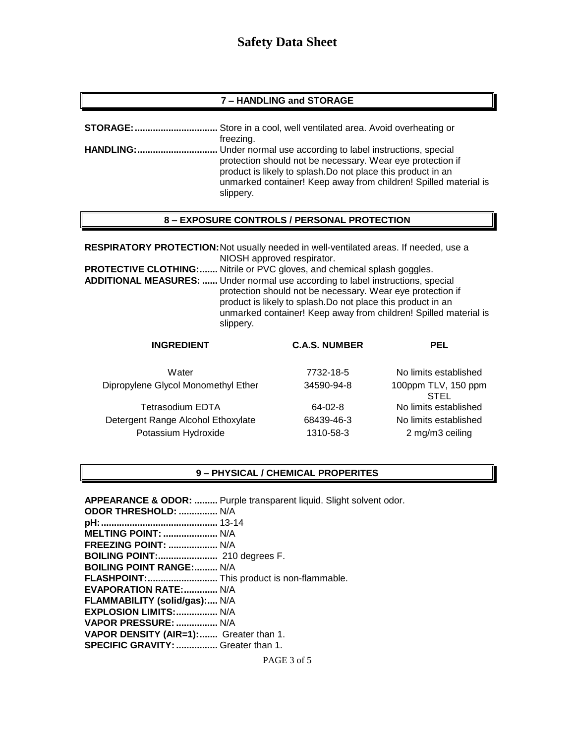### **7 – HANDLING and STORAGE**

| <b>STORAGE:</b> | . Store in a cool, well ventilated area. Avoid overheating or                                                                                                                                               |
|-----------------|-------------------------------------------------------------------------------------------------------------------------------------------------------------------------------------------------------------|
|                 | freezing.                                                                                                                                                                                                   |
|                 |                                                                                                                                                                                                             |
|                 | protection should not be necessary. Wear eye protection if<br>product is likely to splash. Do not place this product in an<br>unmarked container! Keep away from children! Spilled material is<br>slippery. |

## **8 – EXPOSURE CONTROLS / PERSONAL PROTECTION**

**RESPIRATORY PROTECTION:**Not usually needed in well-ventilated areas. If needed, use a NIOSH approved respirator. **PROTECTIVE CLOTHING:.......** Nitrile or PVC gloves, and chemical splash goggles. **ADDITIONAL MEASURES: ......** Under normal use according to label instructions, special protection should not be necessary. Wear eye protection if product is likely to splash.Do not place this product in an unmarked container! Keep away from children! Spilled material is slippery.

| <b>INGREDIENT</b>                   | <b>C.A.S. NUMBER</b> | <b>PEL</b>                         |
|-------------------------------------|----------------------|------------------------------------|
| Water                               | 7732-18-5            | No limits established              |
| Dipropylene Glycol Monomethyl Ether | 34590-94-8           | 100ppm TLV, 150 ppm<br><b>STEL</b> |
| <b>Tetrasodium EDTA</b>             | 64-02-8              | No limits established              |
| Detergent Range Alcohol Ethoxylate  | 68439-46-3           | No limits established              |
| Potassium Hydroxide                 | 1310-58-3            | 2 mg/m3 ceiling                    |

#### **9 – PHYSICAL / CHEMICAL PROPERITES**

**APPEARANCE & ODOR: .........** Purple transparent liquid. Slight solvent odor. **ODOR THRESHOLD: ...............** N/A **pH:.............................................** 13-14 **MELTING POINT: .....................** N/A **FREEZING POINT: ...................** N/A **BOILING POINT:.......................** 210 degrees F. **BOILING POINT RANGE:.........** N/A **FLASHPOINT:...........................** This product is non-flammable. **EVAPORATION RATE:.............** N/A **FLAMMABILITY (solid/gas):....** N/A **EXPLOSION LIMITS:................** N/A **VAPOR PRESSURE: ................** N/A **VAPOR DENSITY (AIR=1):.......** Greater than 1. **SPECIFIC GRAVITY:................** Greater than 1.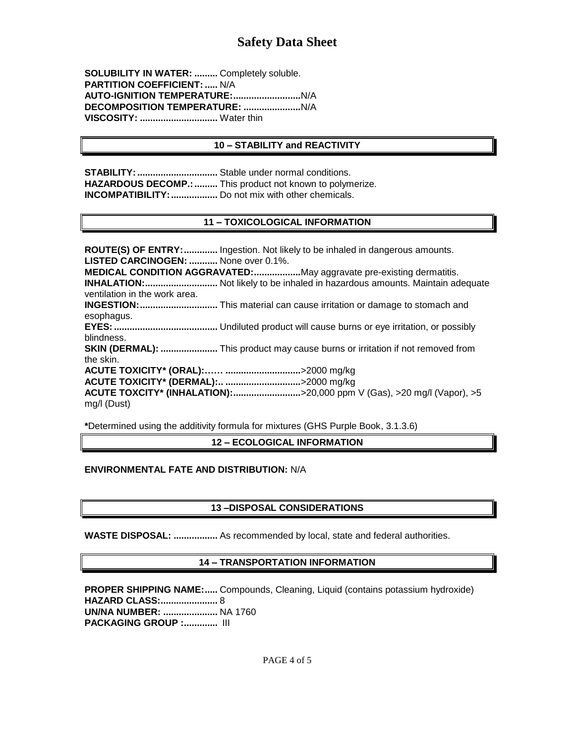**SOLUBILITY IN WATER: .........** Completely soluble. **PARTITION COEFFICIENT: .....** N/A **AUTO-IGNITION TEMPERATURE:..........................**N/A **DECOMPOSITION TEMPERATURE: ......................**N/A **VISCOSITY: ..............................** Water thin

#### **10 – STABILITY and REACTIVITY**

**STABILITY: ...................................** Stable under normal conditions. **HAZARDOUS DECOMP.:.........** This product not known to polymerize. **INCOMPATIBILITY:..................** Do not mix with other chemicals.

### **11 – TOXICOLOGICAL INFORMATION**

**ROUTE(S) OF ENTRY:.............** Ingestion. Not likely to be inhaled in dangerous amounts. **LISTED CARCINOGEN: ...........** None over 0.1%. **MEDICAL CONDITION AGGRAVATED:..................**May aggravate pre-existing dermatitis. **INHALATION:............................** Not likely to be inhaled in hazardous amounts. Maintain adequate ventilation in the work area. **INGESTION:..............................** This material can cause irritation or damage to stomach and esophagus. **EYES:........................................** Undiluted product will cause burns or eye irritation, or possibly blindness. **SKIN (DERMAL): ......................** This product may cause burns or irritation if not removed from the skin. **ACUTE TOXICITY\* (ORAL):…… .............................**>2000 mg/kg **ACUTE TOXICITY\* (DERMAL):.. .............................**>2000 mg/kg **ACUTE TOXCITY\* (INHALATION):..........................**>20,000 ppm V (Gas), >20 mg/l (Vapor), >5 mg/l (Dust)

**\***Determined using the additivity formula for mixtures (GHS Purple Book, 3.1.3.6)

**12 – ECOLOGICAL INFORMATION**

#### **ENVIRONMENTAL FATE AND DISTRIBUTION:** N/A

### **13 –DISPOSAL CONSIDERATIONS**

**WASTE DISPOSAL: .................** As recommended by local, state and federal authorities.

#### **14 – TRANSPORTATION INFORMATION**

**PROPER SHIPPING NAME:.....** Compounds, Cleaning, Liquid (contains potassium hydroxide) **HAZARD CLASS:......................** 8 **UN/NA NUMBER: .....................** NA 1760 **PACKAGING GROUP :.............** III